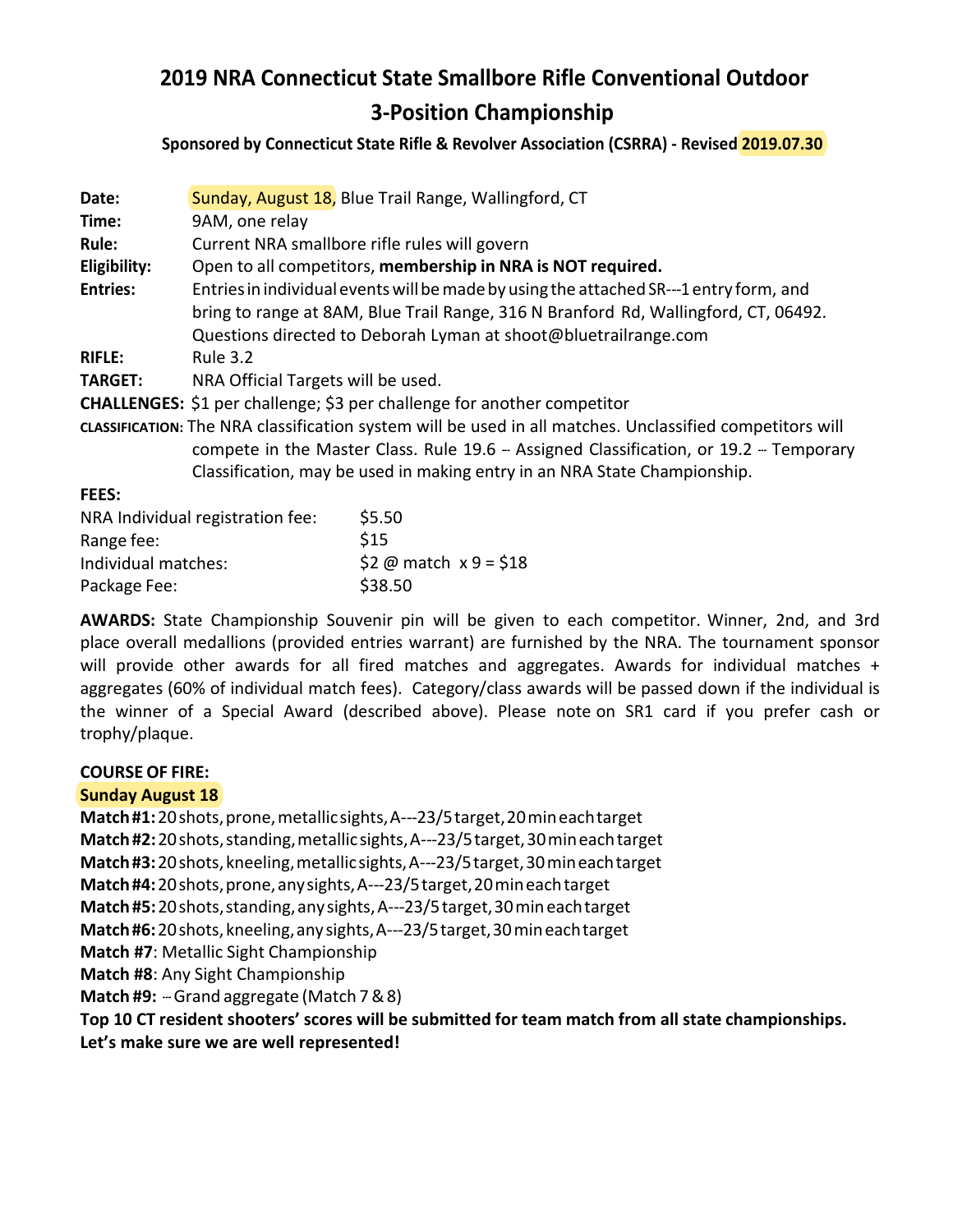# **2019 NRA Connecticut State Smallbore Rifle Conventional Outdoor 3-Position Championship**

**Sponsored by Connecticut State Rifle & Revolver Association (CSRRA) - Revised 2019.07.30**

| Date:                                                                                                    | Sunday, August 18, Blue Trail Range, Wallingford, CT                                   |                          |  |  |  |  |  |
|----------------------------------------------------------------------------------------------------------|----------------------------------------------------------------------------------------|--------------------------|--|--|--|--|--|
| Time:                                                                                                    | 9AM, one relay                                                                         |                          |  |  |  |  |  |
| Rule:                                                                                                    | Current NRA smallbore rifle rules will govern                                          |                          |  |  |  |  |  |
| Eligibility:                                                                                             | Open to all competitors, membership in NRA is NOT required.                            |                          |  |  |  |  |  |
| <b>Entries:</b>                                                                                          | Entries in individual events will be made by using the attached SR---1 entry form, and |                          |  |  |  |  |  |
|                                                                                                          | bring to range at 8AM, Blue Trail Range, 316 N Branford Rd, Wallingford, CT, 06492.    |                          |  |  |  |  |  |
|                                                                                                          | Questions directed to Deborah Lyman at shoot@bluetrailrange.com                        |                          |  |  |  |  |  |
| <b>RIFLE:</b>                                                                                            | <b>Rule 3.2</b>                                                                        |                          |  |  |  |  |  |
| <b>TARGET:</b>                                                                                           | NRA Official Targets will be used.                                                     |                          |  |  |  |  |  |
| CHALLENGES: \$1 per challenge; \$3 per challenge for another competitor                                  |                                                                                        |                          |  |  |  |  |  |
| cLASSIFICATION: The NRA classification system will be used in all matches. Unclassified competitors will |                                                                                        |                          |  |  |  |  |  |
|                                                                                                          | compete in the Master Class. Rule 19.6 - Assigned Classification, or 19.2 - Temporary  |                          |  |  |  |  |  |
|                                                                                                          | Classification, may be used in making entry in an NRA State Championship.              |                          |  |  |  |  |  |
| <b>FEES:</b>                                                                                             |                                                                                        |                          |  |  |  |  |  |
| NRA Individual registration fee:                                                                         |                                                                                        | \$5.50                   |  |  |  |  |  |
| Range fee:                                                                                               |                                                                                        | \$15                     |  |  |  |  |  |
| Individual matches:                                                                                      |                                                                                        | \$2 @ match $x$ 9 = \$18 |  |  |  |  |  |
| Package Fee:                                                                                             |                                                                                        | \$38.50                  |  |  |  |  |  |

**AWARDS:** State Championship Souvenir pin will be given to each competitor. Winner, 2nd, and 3rd place overall medallions (provided entries warrant) are furnished by the NRA. The tournament sponsor will provide other awards for all fired matches and aggregates. Awards for individual matches + aggregates (60% of individual match fees). Category/class awards will be passed down if the individual is the winner of a Special Award (described above). Please note on SR1 card if you prefer cash or trophy/plaque.

### **COURSE OF FIRE:**

### **Sunday August 18**

**Match #1:** 20shots, prone, metallic sights, A-23/5 target, 20min each target **Match #2:** 20shots, standing, metallic sights, A-23/5 target, 30min each target **Match #3:** 20shots, kneeling, metallic sights, A-23/5 target, 30min each target Match #4: 20 shots, prone, any sights, A---23/5 target, 20 min each target **Match #5:** 20shots, standing, any sights, A-23/5 target, 30min each target **Match #6:** 20shots, kneeling, any sights, A-23/5 target, 30min each target **Match #7**: Metallic Sight Championship **Match #8**: Any Sight Championship **Match #9:** - Grand aggregate (Match 7 & 8) **Top 10 CT resident shooters' scores will be submitted for team match from all state championships.** 

**Let's make sure we are well represented!**